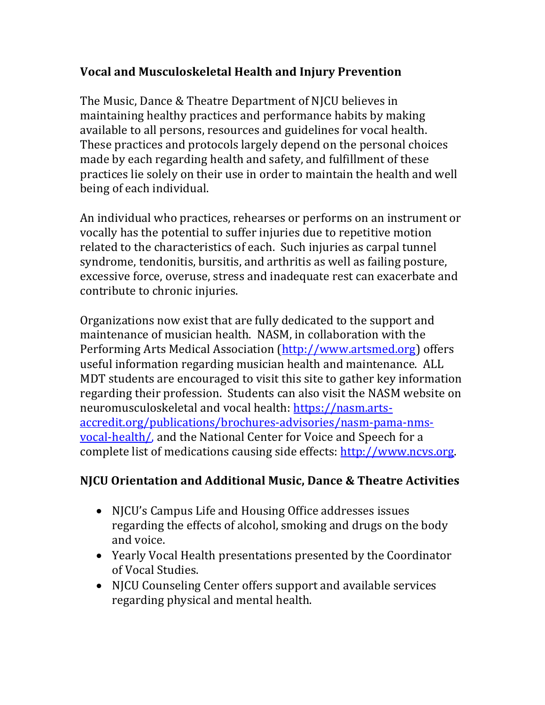## **Vocal and Musculoskeletal Health and Injury Prevention**

The Music, Dance & Theatre Department of NJCU believes in maintaining healthy practices and performance habits by making available to all persons, resources and guidelines for vocal health. These practices and protocols largely depend on the personal choices made by each regarding health and safety, and fulfillment of these practices lie solely on their use in order to maintain the health and well being of each individual.

An individual who practices, rehearses or performs on an instrument or vocally has the potential to suffer injuries due to repetitive motion related to the characteristics of each. Such injuries as carpal tunnel syndrome, tendonitis, bursitis, and arthritis as well as failing posture, excessive force, overuse, stress and inadequate rest can exacerbate and contribute to chronic injuries.

Organizations now exist that are fully dedicated to the support and maintenance of musician health. NASM, in collaboration with the Performing Arts Medical Association (http://www.artsmed.org) offers useful information regarding musician health and maintenance. ALL MDT students are encouraged to visit this site to gather key information regarding their profession. Students can also visit the NASM website on neuromusculoskeletal and vocal health: https://nasm.artsaccredit.org/publications/brochures-advisories/nasm-pama-nmsvocal-health/, and the National Center for Voice and Speech for a complete list of medications causing side effects: http://www.ncvs.org.

## **NJCU Orientation and Additional Music, Dance & Theatre Activities**

- NJCU's Campus Life and Housing Office addresses issues regarding the effects of alcohol, smoking and drugs on the body and voice.
- Yearly Vocal Health presentations presented by the Coordinator of Vocal Studies.
- NJCU Counseling Center offers support and available services regarding physical and mental health.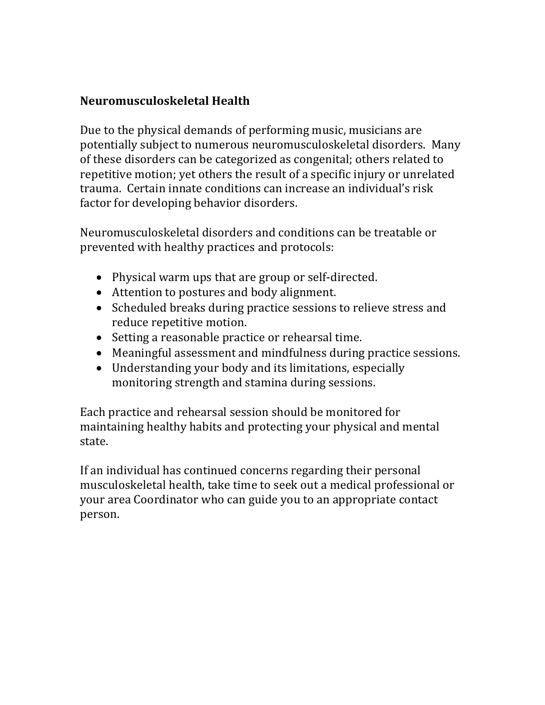## **Neuromusculoskeletal Health**

Due to the physical demands of performing music, musicians are potentially subject to numerous neuromusculoskeletal disorders. Many of these disorders can be categorized as congenital; others related to repetitive motion; yet others the result of a specific injury or unrelated trauma. Certain innate conditions can increase an individual's risk factor for developing behavior disorders.

Neuromusculoskeletal disorders and conditions can be treatable or prevented with healthy practices and protocols:

- Physical warm ups that are group or self-directed.
- Attention to postures and body alignment.
- Scheduled breaks during practice sessions to relieve stress and reduce repetitive motion.
- Setting a reasonable practice or rehearsal time.
- Meaningful assessment and mindfulness during practice sessions.
- Understanding your body and its limitations, especially monitoring strength and stamina during sessions.

Each practice and rehearsal session should be monitored for maintaining healthy habits and protecting your physical and mental state.

If an individual has continued concerns regarding their personal musculoskeletal health, take time to seek out a medical professional or your area Coordinator who can guide you to an appropriate contact person.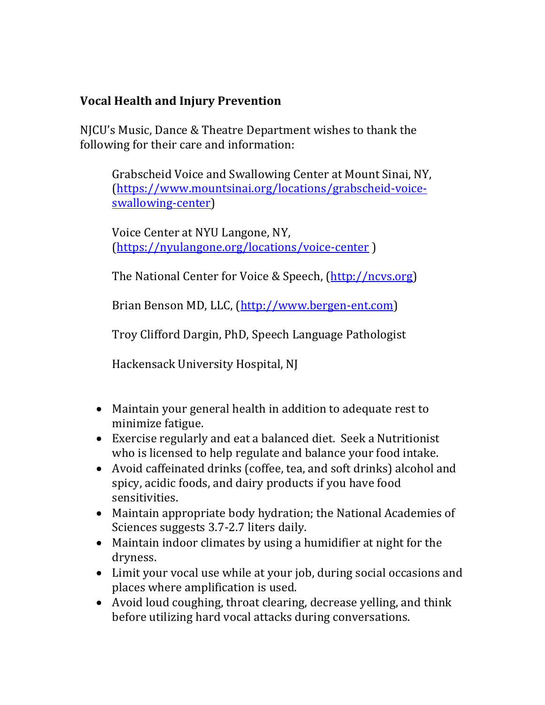## **Vocal Health and Injury Prevention**

NICU's Music, Dance & Theatre Department wishes to thank the following for their care and information:

Grabscheid Voice and Swallowing Center at Mount Sinai, NY, (https://www.mountsinai.org/locations/grabscheid-voiceswallowing-center)

Voice Center at NYU Langone, NY, (https://nyulangone.org/locations/voice-center )

The National Center for Voice & Speech, (http://ncvs.org)

Brian Benson MD, LLC, (http://www.bergen-ent.com)

Troy Clifford Dargin, PhD, Speech Language Pathologist

Hackensack University Hospital, NJ

- Maintain your general health in addition to adequate rest to minimize fatigue.
- Exercise regularly and eat a balanced diet. Seek a Nutritionist who is licensed to help regulate and balance your food intake.
- Avoid caffeinated drinks (coffee, tea, and soft drinks) alcohol and spicy, acidic foods, and dairy products if you have food sensitivities.
- Maintain appropriate body hydration; the National Academies of Sciences suggests 3.7-2.7 liters daily.
- Maintain indoor climates by using a humidifier at night for the dryness.
- Limit your vocal use while at your job, during social occasions and places where amplification is used.
- Avoid loud coughing, throat clearing, decrease yelling, and think before utilizing hard vocal attacks during conversations.